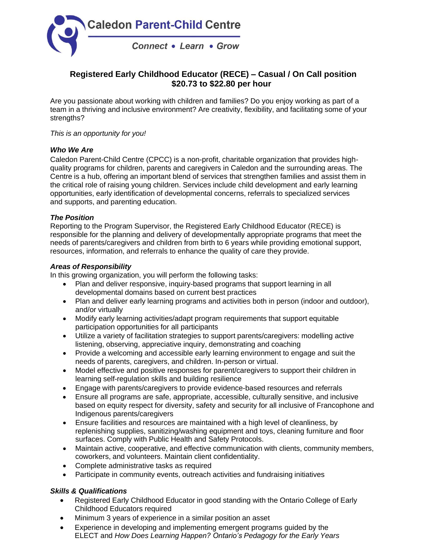

# **Registered Early Childhood Educator (RECE) – Casual / On Call position \$20.73 to \$22.80 per hour**

Are you passionate about working with children and families? Do you enjoy working as part of a team in a thriving and inclusive environment? Are creativity, flexibility, and facilitating some of your strengths?

#### *This is an opportunity for you!*

### *Who We Are*

Caledon Parent-Child Centre (CPCC) is a non-profit, charitable organization that provides highquality programs for children, parents and caregivers in Caledon and the surrounding areas. The Centre is a hub, offering an important blend of services that strengthen families and assist them in the critical role of raising young children. Services include child development and early learning opportunities, early identification of developmental concerns, referrals to specialized services and supports, and parenting education.

#### *The Position*

Reporting to the Program Supervisor, the Registered Early Childhood Educator (RECE) is responsible for the planning and delivery of developmentally appropriate programs that meet the needs of parents/caregivers and children from birth to 6 years while providing emotional support, resources, information, and referrals to enhance the quality of care they provide.

#### *Areas of Responsibility*

In this growing organization, you will perform the following tasks:

- Plan and deliver responsive, inquiry-based programs that support learning in all developmental domains based on current best practices
- Plan and deliver early learning programs and activities both in person (indoor and outdoor), and/or virtually
- Modify early learning activities/adapt program requirements that support equitable participation opportunities for all participants
- Utilize a variety of facilitation strategies to support parents/caregivers: modelling active listening, observing, appreciative inquiry, demonstrating and coaching
- Provide a welcoming and accessible early learning environment to engage and suit the needs of parents, caregivers, and children. In-person or virtual.
- Model effective and positive responses for parent/caregivers to support their children in learning self-regulation skills and building resilience
- Engage with parents/caregivers to provide evidence-based resources and referrals
- Ensure all programs are safe, appropriate, accessible, culturally sensitive, and inclusive based on equity respect for diversity, safety and security for all inclusive of Francophone and Indigenous parents/caregivers
- Ensure facilities and resources are maintained with a high level of cleanliness, by replenishing supplies, sanitizing/washing equipment and toys, cleaning furniture and floor surfaces. Comply with Public Health and Safety Protocols.
- Maintain active, cooperative, and effective communication with clients, community members, coworkers, and volunteers. Maintain client confidentiality.
- Complete administrative tasks as required
- Participate in community events, outreach activities and fundraising initiatives

## *Skills & Qualifications*

- Registered Early Childhood Educator in good standing with the Ontario College of Early Childhood Educators required
- Minimum 3 years of experience in a similar position an asset
- Experience in developing and implementing emergent programs guided by the ELECT and *How Does Learning Happen? Ontario's Pedagogy for the Early Years*